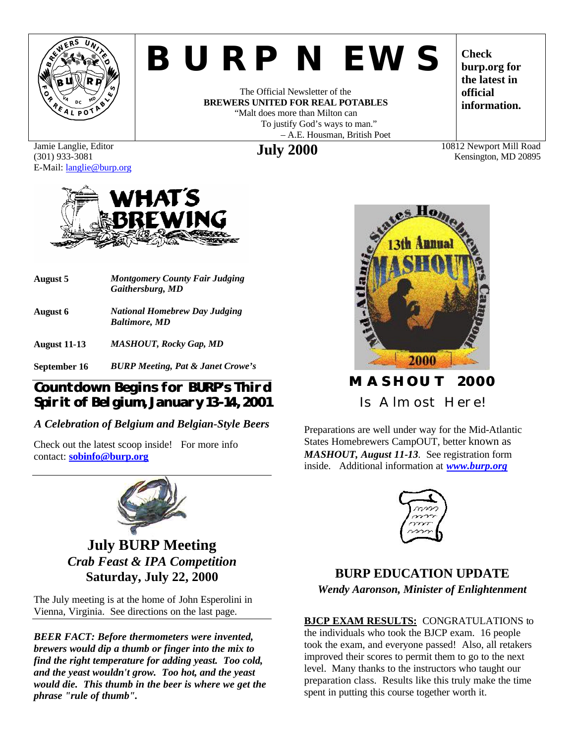

# *BURP NEWS*

The Official Newsletter of the **BREWERS UNITED FOR REAL POTABLES** "Malt does more than Milton can To justify God's ways to man." – A.E. Housman, British Poet **July 2000** 10812 Newport Mill Road

**Check burp.org for the latest in official information.**

Kensington, MD 20895

Jamie Langlie, Editor (301) 933-3081 E-Mail: langlie@burp.org



**August 5** *Montgomery County Fair Judging Gaithersburg, MD* **August 6** *National Homebrew Day Judging Baltimore, MD* **August 11-13** *MASHOUT, Rocky Gap, MD*

**September 16** *BURP Meeting, Pat & Janet Crowe's*

#### **Countdown Begins for BURP's Third Spirit of Belgium, January 13-14, 2001**

#### *A Celebration of Belgium and Belgian-Style Beers*

Check out the latest scoop inside! For more info contact: **sobinfo@burp.org**



**July BURP Meeting** *Crab Feast & IPA Competition* **Saturday, July 22, 2000**

The July meeting is at the home of John Esperolini in Vienna, Virginia. See directions on the last page.

*BEER FACT: Before thermometers were invented, brewers would dip a thumb or finger into the mix to find the right temperature for adding yeast. Too cold, and the yeast wouldn't grow. Too hot, and the yeast would die. This thumb in the beer is where we get the phrase "rule of thumb".*



# **MASHOUT 2000** Is Almost Here!

Preparations are well under way for the Mid-Atlantic States Homebrewers CampOUT, better known as *MASHOUT, August 11-13.* See registration form inside. Additional information at *www.burp.org*



### **BURP EDUCATION UPDATE** *Wendy Aaronson, Minister of Enlightenment*

**BJCP EXAM RESULTS:** CONGRATULATIONS to the individuals who took the BJCP exam. 16 people took the exam, and everyone passed! Also, all retakers improved their scores to permit them to go to the next level. Many thanks to the instructors who taught our preparation class. Results like this truly make the time spent in putting this course together worth it.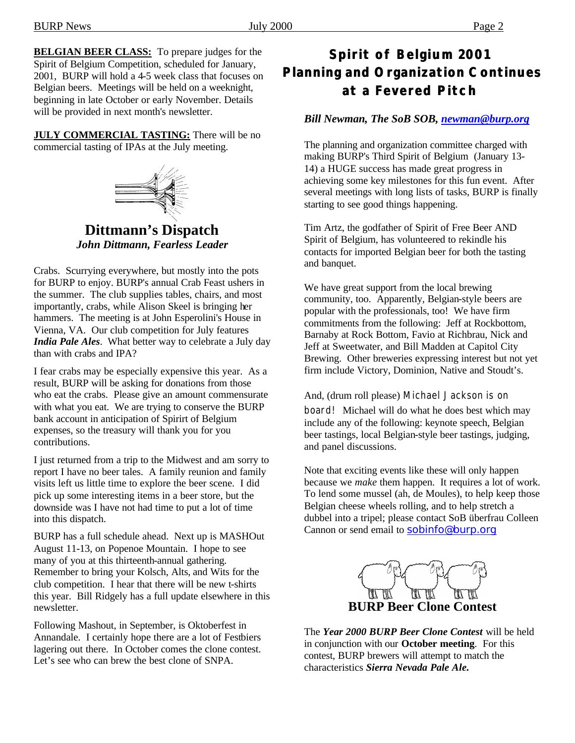**BELGIAN BEER CLASS:** To prepare judges for the Spirit of Belgium Competition, scheduled for January, 2001, BURP will hold a 4-5 week class that focuses on Belgian beers. Meetings will be held on a weeknight, beginning in late October or early November. Details will be provided in next month's newsletter.

**JULY COMMERCIAL TASTING:** There will be no commercial tasting of IPAs at the July meeting.



**Dittmann's Dispatch** *John Dittmann, Fearless Leader*

Crabs. Scurrying everywhere, but mostly into the pots for BURP to enjoy. BURP's annual Crab Feast ushers in the summer. The club supplies tables, chairs, and most importantly, crabs, while Alison Skeel is bringing her hammers. The meeting is at John Esperolini's House in Vienna, VA. Our club competition for July features *India Pale Ales*. What better way to celebrate a July day than with crabs and IPA?

I fear crabs may be especially expensive this year. As a result, BURP will be asking for donations from those who eat the crabs. Please give an amount commensurate with what you eat. We are trying to conserve the BURP bank account in anticipation of Spirirt of Belgium expenses, so the treasury will thank you for you contributions.

I just returned from a trip to the Midwest and am sorry to report I have no beer tales. A family reunion and family visits left us little time to explore the beer scene. I did pick up some interesting items in a beer store, but the downside was I have not had time to put a lot of time into this dispatch.

BURP has a full schedule ahead. Next up is MASHOut August 11-13, on Popenoe Mountain. I hope to see many of you at this thirteenth-annual gathering. Remember to bring your Kolsch, Alts, and Wits for the club competition. I hear that there will be new t-shirts this year. Bill Ridgely has a full update elsewhere in this newsletter.

Following Mashout, in September, is Oktoberfest in Annandale. I certainly hope there are a lot of Festbiers lagering out there. In October comes the clone contest. Let's see who can brew the best clone of SNPA.

## **Spirit of Belgium 2001 Planning and Organization Continues at a Fevered Pitch**

#### *Bill Newman, The SoB SOB, newman@burp.org*

The planning and organization committee charged with making BURP's Third Spirit of Belgium (January 13- 14) a HUGE success has made great progress in achieving some key milestones for this fun event. After several meetings with long lists of tasks, BURP is finally starting to see good things happening.

Tim Artz, the godfather of Spirit of Free Beer AND Spirit of Belgium, has volunteered to rekindle his contacts for imported Belgian beer for both the tasting and banquet.

We have great support from the local brewing community, too. Apparently, Belgian-style beers are popular with the professionals, too! We have firm commitments from the following: Jeff at Rockbottom, Barnaby at Rock Bottom, Favio at Richbrau, Nick and Jeff at Sweetwater, and Bill Madden at Capitol City Brewing. Other breweries expressing interest but not yet firm include Victory, Dominion, Native and Stoudt's.

And, (drum roll please) Michael Jackson is on board! Michael will do what he does best which may include any of the following: keynote speech, Belgian beer tastings, local Belgian-style beer tastings, judging, and panel discussions.

Note that exciting events like these will only happen because we *make* them happen. It requires a lot of work. To lend some mussel (ah, de Moules), to help keep those Belgian cheese wheels rolling, and to help stretch a dubbel into a tripel; please contact SoB überfrau Colleen Cannon or send email to sobinfo@burp.org



The *Year 2000 BURP Beer Clone Contest* will be held in conjunction with our **October meeting**. For this contest, BURP brewers will attempt to match the characteristics *Sierra Nevada Pale Ale.*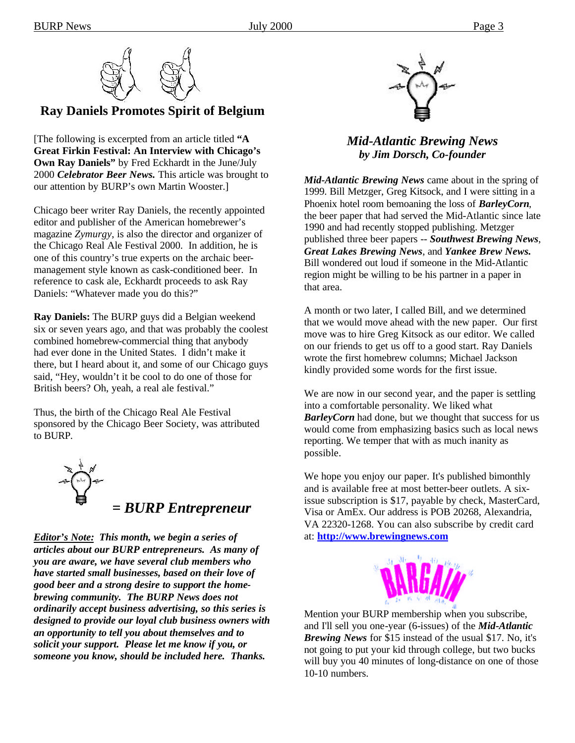

#### **Ray Daniels Promotes Spirit of Belgium**

[The following is excerpted from an article titled **"A Great Firkin Festival: An Interview with Chicago's Own Ray Daniels"** by Fred Eckhardt in the June/July 2000 *Celebrator Beer News.* This article was brought to our attention by BURP's own Martin Wooster.]

Chicago beer writer Ray Daniels, the recently appointed editor and publisher of the American homebrewer's magazine *Zymurgy*, is also the director and organizer of the Chicago Real Ale Festival 2000. In addition, he is one of this country's true experts on the archaic beermanagement style known as cask-conditioned beer. In reference to cask ale, Eckhardt proceeds to ask Ray Daniels: "Whatever made you do this?"

**Ray Daniels:** The BURP guys did a Belgian weekend six or seven years ago, and that was probably the coolest combined homebrew-commercial thing that anybody had ever done in the United States. I didn't make it there, but I heard about it, and some of our Chicago guys said, "Hey, wouldn't it be cool to do one of those for British beers? Oh, yeah, a real ale festival."

Thus, the birth of the Chicago Real Ale Festival sponsored by the Chicago Beer Society, was attributed to BURP.



*Editor's Note: This month, we begin a series of articles about our BURP entrepreneurs. As many of you are aware, we have several club members who have started small businesses, based on their love of good beer and a strong desire to support the homebrewing community. The BURP News does not ordinarily accept business advertising, so this series is designed to provide our loyal club business owners with an opportunity to tell you about themselves and to solicit your support. Please let me know if you, or someone you know, should be included here. Thanks.* 



#### *Mid-Atlantic Brewing News by Jim Dorsch, Co-founder*

*Mid-Atlantic Brewing News* came about in the spring of 1999. Bill Metzger, Greg Kitsock, and I were sitting in a Phoenix hotel room bemoaning the loss of *BarleyCorn*, the beer paper that had served the Mid-Atlantic since late 1990 and had recently stopped publishing. Metzger published three beer papers -- *Southwest Brewing News*, *Great Lakes Brewing News*, and *Yankee Brew News.*  Bill wondered out loud if someone in the Mid-Atlantic region might be willing to be his partner in a paper in that area.

A month or two later, I called Bill, and we determined that we would move ahead with the new paper. Our first move was to hire Greg Kitsock as our editor. We called on our friends to get us off to a good start. Ray Daniels wrote the first homebrew columns; Michael Jackson kindly provided some words for the first issue.

We are now in our second year, and the paper is settling into a comfortable personality. We liked what *BarleyCorn* had done, but we thought that success for us would come from emphasizing basics such as local news reporting. We temper that with as much inanity as possible.

We hope you enjoy our paper. It's published bimonthly and is available free at most better-beer outlets. A sixissue subscription is \$17, payable by check, MasterCard, Visa or AmEx. Our address is POB 20268, Alexandria, VA 22320-1268. You can also subscribe by credit card at: **http://www.brewingnews.com**



Mention your BURP membership when you subscribe, and I'll sell you one-year (6-issues) of the *Mid-Atlantic Brewing News* for \$15 instead of the usual \$17. No, it's not going to put your kid through college, but two bucks will buy you 40 minutes of long-distance on one of those 10-10 numbers.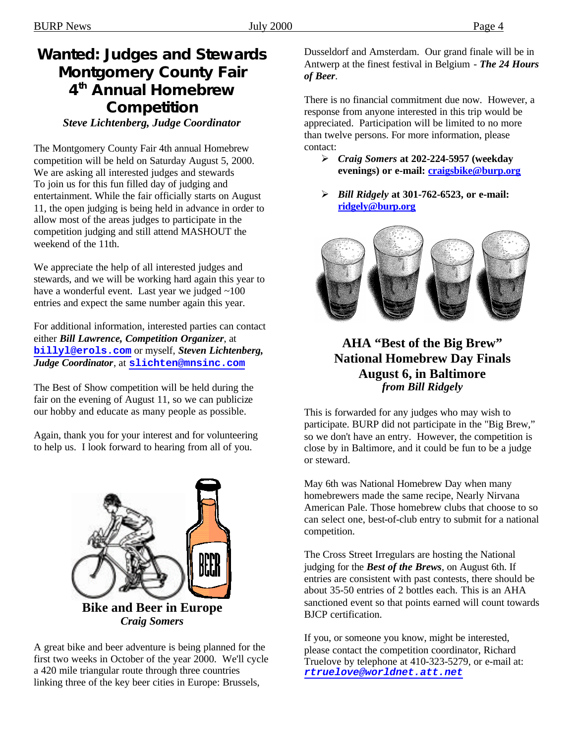# **Wanted: Judges and Stewards Montgomery County Fair 4 th Annual Homebrew Competition**

*Steve Lichtenberg, Judge Coordinator*

The Montgomery County Fair 4th annual Homebrew competition will be held on Saturday August 5, 2000. We are asking all interested judges and stewards To join us for this fun filled day of judging and entertainment. While the fair officially starts on August 11, the open judging is being held in advance in order to allow most of the areas judges to participate in the competition judging and still attend MASHOUT the weekend of the 11th.

We appreciate the help of all interested judges and stewards, and we will be working hard again this year to have a wonderful event. Last year we judged ~100 entries and expect the same number again this year.

For additional information, interested parties can contact either *Bill Lawrence, Competition Organizer*, at **billyl@erols.com** or myself, *Steven Lichtenberg, Judge Coordinator*, at **slichten@mnsinc.com**

The Best of Show competition will be held during the fair on the evening of August 11, so we can publicize our hobby and educate as many people as possible.

Again, thank you for your interest and for volunteering to help us. I look forward to hearing from all of you.



**Bike and Beer in Europe** *Craig Somers*

A great bike and beer adventure is being planned for the first two weeks in October of the year 2000. We'll cycle a 420 mile triangular route through three countries linking three of the key beer cities in Europe: Brussels,

Dusseldorf and Amsterdam. Our grand finale will be in Antwerp at the finest festival in Belgium - *The 24 Hours of Beer*.

There is no financial commitment due now. However, a response from anyone interested in this trip would be appreciated. Participation will be limited to no more than twelve persons. For more information, please contact:

- ÿ *Craig Somers* **at 202-224-5957 (weekday evenings) or e-mail: craigsbike@burp.org**
- ÿ *Bill Ridgely* **at 301-762-6523, or e-mail: ridgely@burp.org**



#### **AHA "Best of the Big Brew" National Homebrew Day Finals August 6, in Baltimore** *from Bill Ridgely*

This is forwarded for any judges who may wish to participate. BURP did not participate in the "Big Brew," so we don't have an entry. However, the competition is close by in Baltimore, and it could be fun to be a judge or steward.

May 6th was National Homebrew Day when many homebrewers made the same recipe, Nearly Nirvana American Pale. Those homebrew clubs that choose to so can select one, best-of-club entry to submit for a national competition.

The Cross Street Irregulars are hosting the National judging for the *Best of the Brews*, on August 6th. If entries are consistent with past contests, there should be about 35-50 entries of 2 bottles each. This is an AHA sanctioned event so that points earned will count towards BJCP certification.

If you, or someone you know, might be interested, please contact the competition coordinator, Richard Truelove by telephone at 410-323-5279, or e-mail at: *rtruelove@worldnet.att.net*